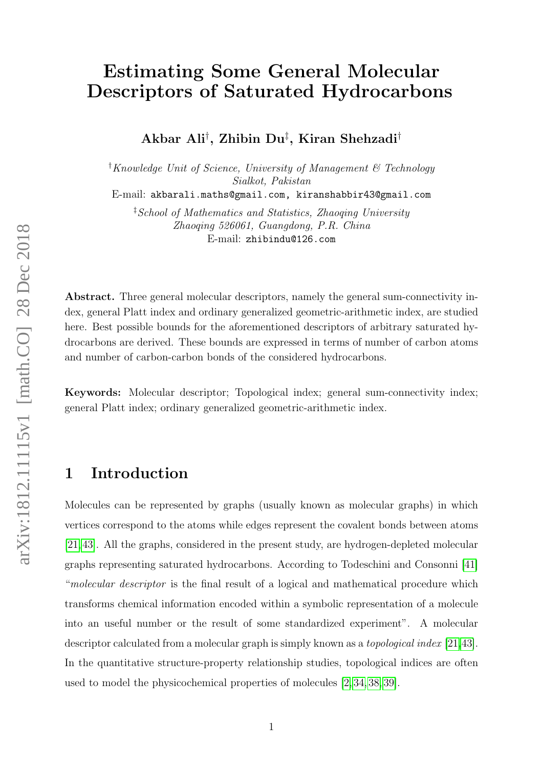# Estimating Some General Molecular Descriptors of Saturated Hydrocarbons

Akbar Ali† , Zhibin Du‡ , Kiran Shehzadi†

<sup>†</sup>Knowledge Unit of Science, University of Management  $\mathscr C$  Technology Sialkot, Pakistan

E-mail: akbarali.maths@gmail.com, kiranshabbir43@gmail.com

‡School of Mathematics and Statistics, Zhaoqing University Zhaoqing 526061, Guangdong, P.R. China E-mail: zhibindu@126.com

Abstract. Three general molecular descriptors, namely the general sum-connectivity index, general Platt index and ordinary generalized geometric-arithmetic index, are studied here. Best possible bounds for the aforementioned descriptors of arbitrary saturated hydrocarbons are derived. These bounds are expressed in terms of number of carbon atoms and number of carbon-carbon bonds of the considered hydrocarbons.

Keywords: Molecular descriptor; Topological index; general sum-connectivity index; general Platt index; ordinary generalized geometric-arithmetic index.

#### 1 Introduction

Molecules can be represented by graphs (usually known as molecular graphs) in which vertices correspond to the atoms while edges represent the covalent bonds between atoms [\[21,](#page-17-0)[43\]](#page-19-0). All the graphs, considered in the present study, are hydrogen-depleted molecular graphs representing saturated hydrocarbons. According to Todeschini and Consonni [\[41\]](#page-19-1) "molecular descriptor is the final result of a logical and mathematical procedure which transforms chemical information encoded within a symbolic representation of a molecule into an useful number or the result of some standardized experiment". A molecular descriptor calculated from a molecular graph is simply known as a topological index [\[21,](#page-17-0)[43\]](#page-19-0). In the quantitative structure-property relationship studies, topological indices are often used to model the physicochemical properties of molecules [\[2,](#page-16-0) [34,](#page-18-0) [38,](#page-19-2) [39\]](#page-19-3).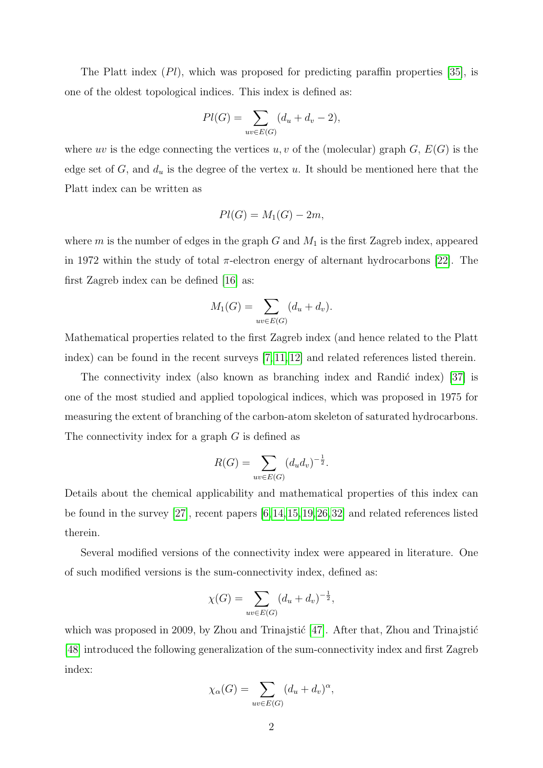The Platt index (Pl), which was proposed for predicting paraffin properties [\[35\]](#page-18-1), is one of the oldest topological indices. This index is defined as:

$$
Pl(G) = \sum_{uv \in E(G)} (d_u + d_v - 2),
$$

where uv is the edge connecting the vertices u, v of the (molecular) graph  $G, E(G)$  is the edge set of  $G$ , and  $d_u$  is the degree of the vertex u. It should be mentioned here that the Platt index can be written as

$$
Pl(G) = M_1(G) - 2m,
$$

where  $m$  is the number of edges in the graph  $G$  and  $M_1$  is the first Zagreb index, appeared in 1972 within the study of total  $\pi$ -electron energy of alternant hydrocarbons [\[22\]](#page-17-1). The first Zagreb index can be defined [\[16\]](#page-17-2) as:

$$
M_1(G) = \sum_{uv \in E(G)} (d_u + d_v).
$$

Mathematical properties related to the first Zagreb index (and hence related to the Platt index) can be found in the recent surveys [\[7,](#page-16-1) [11,](#page-16-2) [12\]](#page-16-3) and related references listed therein.

The connectivity index (also known as branching index and Randić index)  $[37]$  is one of the most studied and applied topological indices, which was proposed in 1975 for measuring the extent of branching of the carbon-atom skeleton of saturated hydrocarbons. The connectivity index for a graph  $G$  is defined as

$$
R(G) = \sum_{uv \in E(G)} (d_u d_v)^{-\frac{1}{2}}.
$$

Details about the chemical applicability and mathematical properties of this index can be found in the survey [\[27\]](#page-18-2), recent papers [\[6,](#page-16-4)[14,](#page-17-3)[15,](#page-17-4)[19,](#page-17-5)[26,](#page-18-3)[32\]](#page-18-4) and related references listed therein.

Several modified versions of the connectivity index were appeared in literature. One of such modified versions is the sum-connectivity index, defined as:

$$
\chi(G) = \sum_{uv \in E(G)} (d_u + d_v)^{-\frac{1}{2}},
$$

which was proposed in 2009, by Zhou and Trinajstić  $[47]$ . After that, Zhou and Trinajstić [\[48\]](#page-20-0) introduced the following generalization of the sum-connectivity index and first Zagreb index:

$$
\chi_{\alpha}(G) = \sum_{uv \in E(G)} (d_u + d_v)^{\alpha},
$$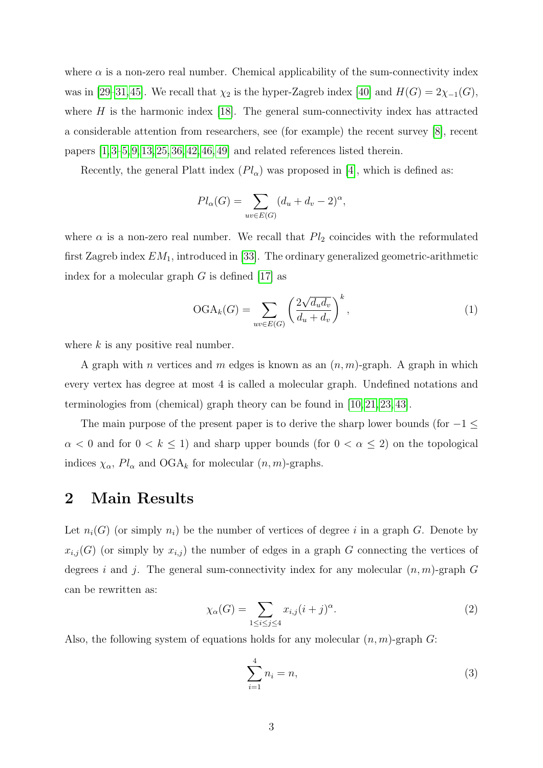where  $\alpha$  is a non-zero real number. Chemical applicability of the sum-connectivity index was in [\[29–](#page-18-5)[31,](#page-18-6)[45\]](#page-19-6). We recall that  $\chi_2$  is the hyper-Zagreb index [\[40\]](#page-19-7) and  $H(G) = 2\chi_{-1}(G)$ , where  $H$  is the harmonic index [\[18\]](#page-17-6). The general sum-connectivity index has attracted a considerable attention from researchers, see (for example) the recent survey [\[8\]](#page-16-5), recent papers  $[1, 3-5, 9, 13, 25, 36, 42, 46, 49]$  $[1, 3-5, 9, 13, 25, 36, 42, 46, 49]$  $[1, 3-5, 9, 13, 25, 36, 42, 46, 49]$  $[1, 3-5, 9, 13, 25, 36, 42, 46, 49]$  $[1, 3-5, 9, 13, 25, 36, 42, 46, 49]$  $[1, 3-5, 9, 13, 25, 36, 42, 46, 49]$  $[1, 3-5, 9, 13, 25, 36, 42, 46, 49]$  $[1, 3-5, 9, 13, 25, 36, 42, 46, 49]$  $[1, 3-5, 9, 13, 25, 36, 42, 46, 49]$  and related references listed therein.

Recently, the general Platt index  $(Pl_{\alpha})$  was proposed in [\[4\]](#page-16-10), which is defined as:

$$
Pl_{\alpha}(G) = \sum_{uv \in E(G)} (d_u + d_v - 2)^{\alpha},
$$

where  $\alpha$  is a non-zero real number. We recall that  $Pl_2$  coincides with the reformulated first Zagreb index  $EM_1$ , introduced in [\[33\]](#page-18-8). The ordinary generalized geometric-arithmetic index for a molecular graph  $G$  is defined [\[17\]](#page-17-8) as

$$
\text{OGA}_k(G) = \sum_{uv \in E(G)} \left( \frac{2\sqrt{d_u d_v}}{d_u + d_v} \right)^k,\tag{1}
$$

where  $k$  is any positive real number.

A graph with n vertices and m edges is known as an  $(n, m)$ -graph. A graph in which every vertex has degree at most 4 is called a molecular graph. Undefined notations and terminologies from (chemical) graph theory can be found in [\[10,](#page-16-11) [21,](#page-17-0) [23,](#page-17-9) [43\]](#page-19-0).

The main purpose of the present paper is to derive the sharp lower bounds (for  $-1 \le$  $\alpha < 0$  and for  $0 < k \le 1$ ) and sharp upper bounds (for  $0 < \alpha \le 2$ ) on the topological indices  $\chi_{\alpha}$ ,  $Pl_{\alpha}$  and  $OGA_k$  for molecular  $(n, m)$ -graphs.

## 2 Main Results

Let  $n_i(G)$  (or simply  $n_i$ ) be the number of vertices of degree i in a graph G. Denote by  $x_{i,j}(G)$  (or simply by  $x_{i,j}$ ) the number of edges in a graph G connecting the vertices of degrees i and j. The general sum-connectivity index for any molecular  $(n, m)$ -graph G can be rewritten as:

<span id="page-2-1"></span>
$$
\chi_{\alpha}(G) = \sum_{1 \le i \le j \le 4} x_{i,j} (i+j)^{\alpha}.
$$
 (2)

Also, the following system of equations holds for any molecular  $(n, m)$ -graph G:

<span id="page-2-0"></span>
$$
\sum_{i=1}^{4} n_i = n,
$$
\n(3)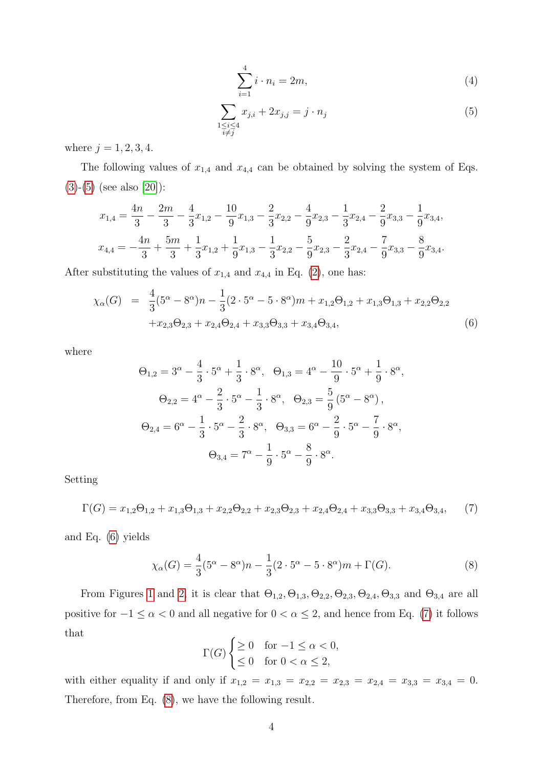<span id="page-3-5"></span>
$$
\sum_{i=1}^{4} i \cdot n_i = 2m,\tag{4}
$$

<span id="page-3-0"></span>
$$
\sum_{\substack{1 \le i \le 4 \\ i \ne j}} x_{j,i} + 2x_{j,j} = j \cdot n_j \tag{5}
$$

where  $j = 1, 2, 3, 4$ .

The following values of  $x_{1,4}$  and  $x_{4,4}$  can be obtained by solving the system of Eqs.  $(3)-(5)$  $(3)-(5)$  $(3)-(5)$  (see also [\[20\]](#page-17-10)):

$$
x_{1,4} = \frac{4n}{3} - \frac{2m}{3} - \frac{4}{3}x_{1,2} - \frac{10}{9}x_{1,3} - \frac{2}{3}x_{2,2} - \frac{4}{9}x_{2,3} - \frac{1}{3}x_{2,4} - \frac{2}{9}x_{3,3} - \frac{1}{9}x_{3,4},
$$
  

$$
x_{4,4} = -\frac{4n}{3} + \frac{5m}{3} + \frac{1}{3}x_{1,2} + \frac{1}{9}x_{1,3} - \frac{1}{3}x_{2,2} - \frac{5}{9}x_{2,3} - \frac{2}{3}x_{2,4} - \frac{7}{9}x_{3,3} - \frac{8}{9}x_{3,4}.
$$

After substituting the values of  $x_{1,4}$  and  $x_{4,4}$  in Eq. [\(2\)](#page-2-1), one has:

<span id="page-3-1"></span>
$$
\chi_{\alpha}(G) = \frac{4}{3}(5^{\alpha} - 8^{\alpha})n - \frac{1}{3}(2 \cdot 5^{\alpha} - 5 \cdot 8^{\alpha})m + x_{1,2}\Theta_{1,2} + x_{1,3}\Theta_{1,3} + x_{2,2}\Theta_{2,2} + x_{2,3}\Theta_{2,3} + x_{2,4}\Theta_{2,4} + x_{3,3}\Theta_{3,3} + x_{3,4}\Theta_{3,4},
$$
\n(6)

where

$$
\Theta_{1,2} = 3^{\alpha} - \frac{4}{3} \cdot 5^{\alpha} + \frac{1}{3} \cdot 8^{\alpha}, \quad \Theta_{1,3} = 4^{\alpha} - \frac{10}{9} \cdot 5^{\alpha} + \frac{1}{9} \cdot 8^{\alpha},
$$

$$
\Theta_{2,2} = 4^{\alpha} - \frac{2}{3} \cdot 5^{\alpha} - \frac{1}{3} \cdot 8^{\alpha}, \quad \Theta_{2,3} = \frac{5}{9} (5^{\alpha} - 8^{\alpha}),
$$

$$
\Theta_{2,4} = 6^{\alpha} - \frac{1}{3} \cdot 5^{\alpha} - \frac{2}{3} \cdot 8^{\alpha}, \quad \Theta_{3,3} = 6^{\alpha} - \frac{2}{9} \cdot 5^{\alpha} - \frac{7}{9} \cdot 8^{\alpha},
$$

$$
\Theta_{3,4} = 7^{\alpha} - \frac{1}{9} \cdot 5^{\alpha} - \frac{8}{9} \cdot 8^{\alpha}.
$$

Setting

<span id="page-3-2"></span>
$$
\Gamma(G) = x_{1,2}\Theta_{1,2} + x_{1,3}\Theta_{1,3} + x_{2,2}\Theta_{2,2} + x_{2,3}\Theta_{2,3} + x_{2,4}\Theta_{2,4} + x_{3,3}\Theta_{3,3} + x_{3,4}\Theta_{3,4},\tag{7}
$$

and Eq. [\(6\)](#page-3-1) yields

<span id="page-3-3"></span>
$$
\chi_{\alpha}(G) = \frac{4}{3}(5^{\alpha} - 8^{\alpha})n - \frac{1}{3}(2 \cdot 5^{\alpha} - 5 \cdot 8^{\alpha})m + \Gamma(G). \tag{8}
$$

From Figures [1](#page-4-0) and [2,](#page-5-0) it is clear that  $\Theta_{1,2}, \Theta_{1,3}, \Theta_{2,2}, \Theta_{2,3}, \Theta_{2,4}, \Theta_{3,3}$  and  $\Theta_{3,4}$  are all positive for  $-1 \le \alpha < 0$  and all negative for  $0 < \alpha \le 2$ , and hence from Eq. [\(7\)](#page-3-2) it follows that

$$
\Gamma(G) \begin{cases} \geq 0 & \text{for } -1 \leq \alpha < 0, \\ \leq 0 & \text{for } 0 < \alpha \leq 2, \end{cases}
$$

<span id="page-3-4"></span>with either equality if and only if  $x_{1,2} = x_{1,3} = x_{2,2} = x_{2,3} = x_{2,4} = x_{3,3} = x_{3,4} = 0.$ Therefore, from Eq. [\(8\)](#page-3-3), we have the following result.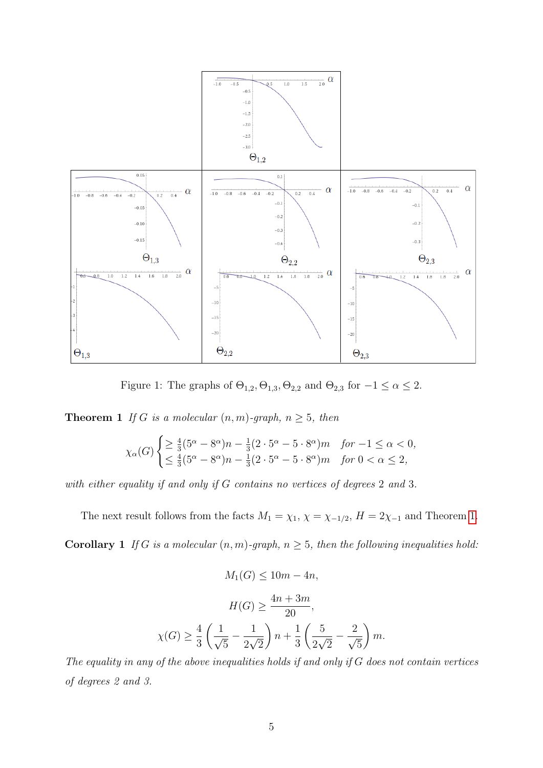

<span id="page-4-0"></span>Figure 1: The graphs of  $\Theta_{1,2}, \Theta_{1,3}, \Theta_{2,2}$  and  $\Theta_{2,3}$  for  $-1 \leq \alpha \leq 2$ .

**Theorem 1** If G is a molecular  $(n, m)$ -graph,  $n \geq 5$ , then

$$
\chi_{\alpha}(G) \begin{cases} \geq \frac{4}{3} (5^{\alpha} - 8^{\alpha}) n - \frac{1}{3} (2 \cdot 5^{\alpha} - 5 \cdot 8^{\alpha}) m & \text{for } -1 \leq \alpha < 0, \\ \leq \frac{4}{3} (5^{\alpha} - 8^{\alpha}) n - \frac{1}{3} (2 \cdot 5^{\alpha} - 5 \cdot 8^{\alpha}) m & \text{for } 0 < \alpha \leq 2, \end{cases}
$$

with either equality if and only if G contains no vertices of degrees 2 and 3.

The next result follows from the facts  $M_1 = \chi_1$ ,  $\chi = \chi_{-1/2}$ ,  $H = 2\chi_{-1}$  and Theorem [1.](#page-3-4)

**Corollary 1** If G is a molecular  $(n, m)$ -graph,  $n \geq 5$ , then the following inequalities hold:

<span id="page-4-1"></span>
$$
M_1(G) \le 10m - 4n,
$$
  
\n
$$
H(G) \ge \frac{4n + 3m}{20},
$$
  
\n
$$
\chi(G) \ge \frac{4}{3} \left( \frac{1}{\sqrt{5}} - \frac{1}{2\sqrt{2}} \right) n + \frac{1}{3} \left( \frac{5}{2\sqrt{2}} - \frac{2}{\sqrt{5}} \right) m.
$$

The equality in any of the above inequalities holds if and only if  $G$  does not contain vertices of degrees 2 and 3.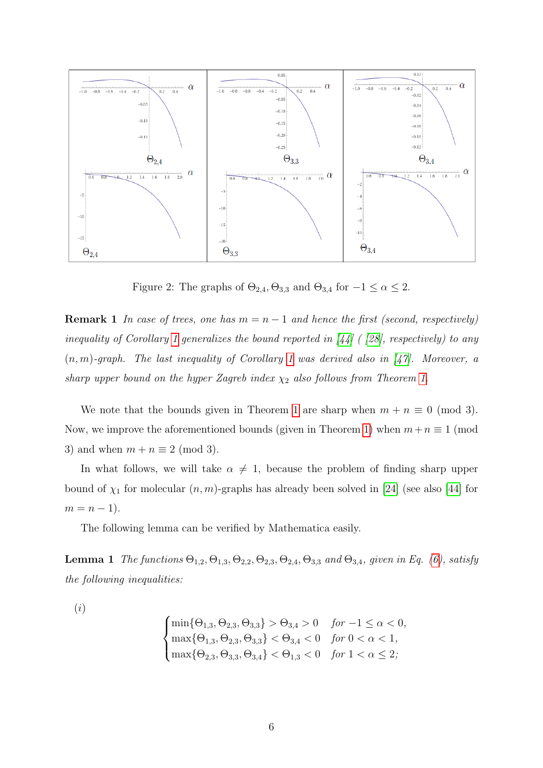

<span id="page-5-0"></span>Figure 2: The graphs of  $\Theta_{2,4}$ ,  $\Theta_{3,3}$  and  $\Theta_{3,4}$  for  $-1 \leq \alpha \leq 2$ .

**Remark 1** In case of trees, one has  $m = n - 1$  and hence the first (second, respectively) inequality of Corollary [1](#page-4-1) generalizes the bound reported in [\[44\]](#page-19-11) ( [\[28\]](#page-18-9), respectively) to any  $(n, m)$ -graph. The last inequality of Corollary [1](#page-4-1) was derived also in [\[47\]](#page-19-5). Moreover, a sharp upper bound on the hyper Zagreb index  $\chi_2$  also follows from Theorem [1.](#page-3-4)

We note that the bounds given in Theorem [1](#page-3-4) are sharp when  $m + n \equiv 0 \pmod{3}$ . Now, we improve the aforementioned bounds (given in Theorem [1\)](#page-3-4) when  $m+n \equiv 1 \pmod{1}$ 3) and when  $m + n \equiv 2 \pmod{3}$ .

In what follows, we will take  $\alpha \neq 1$ , because the problem of finding sharp upper bound of  $\chi_1$  for molecular  $(n, m)$ -graphs has already been solved in [\[24\]](#page-17-11) (see also [\[44\]](#page-19-11) for  $m = n - 1$ .

The following lemma can be verified by Mathematica easily.

<span id="page-5-1"></span>**Lemma 1** The functions  $\Theta_{1,2}$ ,  $\Theta_{1,3}$ ,  $\Theta_{2,2}$ ,  $\Theta_{2,3}$ ,  $\Theta_{2,4}$ ,  $\Theta_{3,3}$  and  $\Theta_{3,4}$ , given in Eq. [\(6\)](#page-3-1), satisfy the following inequalities:

(i)

$$
\begin{cases}\n\min\{\Theta_{1,3}, \Theta_{2,3}, \Theta_{3,3}\} > \Theta_{3,4} > 0 \quad \text{for } -1 \leq \alpha < 0, \\
\max\{\Theta_{1,3}, \Theta_{2,3}, \Theta_{3,3}\} < \Theta_{3,4} < 0 \quad \text{for } 0 < \alpha < 1, \\
\max\{\Theta_{2,3}, \Theta_{3,3}, \Theta_{3,4}\} < \Theta_{1,3} < 0 \quad \text{for } 1 < \alpha \leq 2,\n\end{cases}
$$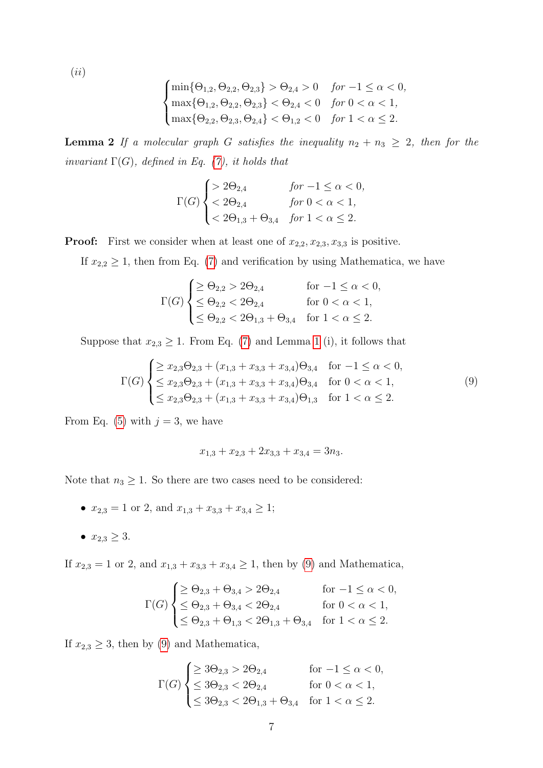(ii)

$$
\begin{cases}\n\min\{\Theta_{1,2},\Theta_{2,2},\Theta_{2,3}\} > \Theta_{2,4} > 0 \quad \text{for } -1 \leq \alpha < 0, \\
\max\{\Theta_{1,2},\Theta_{2,2},\Theta_{2,3}\} < \Theta_{2,4} < 0 \quad \text{for } 0 < \alpha < 1, \\
\max\{\Theta_{2,2},\Theta_{2,3},\Theta_{2,4}\} < \Theta_{1,2} < 0 \quad \text{for } 1 < \alpha \leq 2.\n\end{cases}
$$

<span id="page-6-1"></span>**Lemma 2** If a molecular graph G satisfies the inequality  $n_2 + n_3 \geq 2$ , then for the invariant  $\Gamma(G)$ , defined in Eq. [\(7\)](#page-3-2), it holds that

$$
\Gamma(G) \begin{cases} > 2\Theta_{2,4} & \text{for } -1 \le \alpha < 0, \\ < 2\Theta_{2,4} & \text{for } 0 < \alpha < 1, \\ < 2\Theta_{1,3} + \Theta_{3,4} & \text{for } 1 < \alpha \le 2. \end{cases}
$$

**Proof:** First we consider when at least one of  $x_{2,2}, x_{2,3}, x_{3,3}$  is positive.

If  $x_{2,2} \geq 1$ , then from Eq. [\(7\)](#page-3-2) and verification by using Mathematica, we have

$$
\Gamma(G) \begin{cases} \geq \Theta_{2,2} > 2\Theta_{2,4} & \text{for } -1 \leq \alpha < 0, \\ \leq \Theta_{2,2} < 2\Theta_{2,4} & \text{for } 0 < \alpha < 1, \\ \leq \Theta_{2,2} < 2\Theta_{1,3} + \Theta_{3,4} & \text{for } 1 < \alpha \leq 2. \end{cases}
$$

Suppose that  $x_{2,3} \geq 1$  $x_{2,3} \geq 1$ . From Eq. [\(7\)](#page-3-2) and Lemma 1 (i), it follows that

<span id="page-6-0"></span>
$$
\Gamma(G) \begin{cases} \geq x_{2,3}\Theta_{2,3} + (x_{1,3} + x_{3,3} + x_{3,4})\Theta_{3,4} & \text{for } -1 \leq \alpha < 0, \\ \leq x_{2,3}\Theta_{2,3} + (x_{1,3} + x_{3,3} + x_{3,4})\Theta_{3,4} & \text{for } 0 < \alpha < 1, \\ \leq x_{2,3}\Theta_{2,3} + (x_{1,3} + x_{3,3} + x_{3,4})\Theta_{1,3} & \text{for } 1 < \alpha \leq 2. \end{cases} \tag{9}
$$

From Eq. [\(5\)](#page-3-0) with  $j = 3$ , we have

$$
x_{1,3} + x_{2,3} + 2x_{3,3} + x_{3,4} = 3n_3.
$$

Note that  $n_3 \geq 1$ . So there are two cases need to be considered:

- $x_{2,3} = 1$  or 2, and  $x_{1,3} + x_{3,3} + x_{3,4} \ge 1$ ;
- $x_{2,3} \geq 3$ .

If  $x_{2,3} = 1$  or 2, and  $x_{1,3} + x_{3,3} + x_{3,4} \ge 1$ , then by [\(9\)](#page-6-0) and Mathematica,

$$
\Gamma(G) \begin{cases} \geq \Theta_{2,3} + \Theta_{3,4} > 2\Theta_{2,4} & \text{for } -1 \leq \alpha < 0, \\ \leq \Theta_{2,3} + \Theta_{3,4} < 2\Theta_{2,4} & \text{for } 0 < \alpha < 1, \\ \leq \Theta_{2,3} + \Theta_{1,3} < 2\Theta_{1,3} + \Theta_{3,4} & \text{for } 1 < \alpha \leq 2. \end{cases}
$$

If  $x_{2,3} \geq 3$ , then by [\(9\)](#page-6-0) and Mathematica,

$$
\Gamma(G) \begin{cases} \geq 3\Theta_{2,3} > 2\Theta_{2,4} & \text{for } -1 \leq \alpha < 0, \\ \leq 3\Theta_{2,3} < 2\Theta_{2,4} & \text{for } 0 < \alpha < 1, \\ \leq 3\Theta_{2,3} < 2\Theta_{1,3} + \Theta_{3,4} & \text{for } 1 < \alpha \leq 2. \end{cases}
$$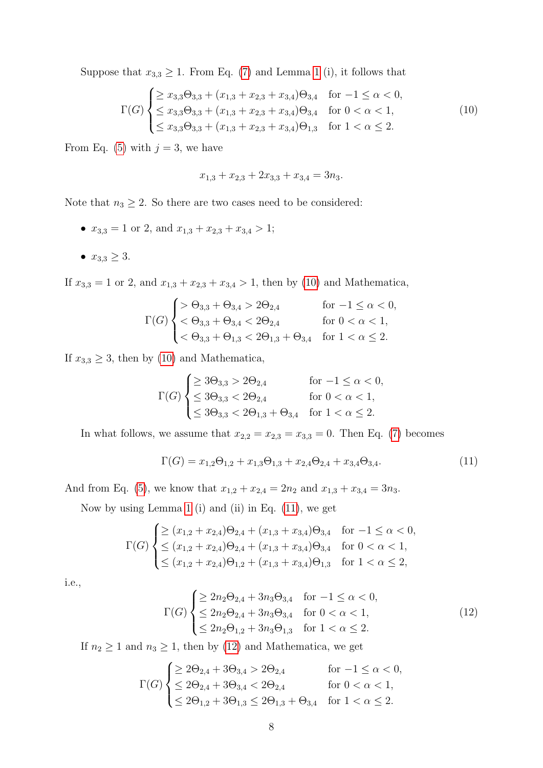Suppose that  $x_{3,3} \geq 1$  $x_{3,3} \geq 1$ . From Eq. [\(7\)](#page-3-2) and Lemma 1 (i), it follows that

<span id="page-7-0"></span>
$$
\Gamma(G) \begin{cases} \geq x_{3,3} \Theta_{3,3} + (x_{1,3} + x_{2,3} + x_{3,4}) \Theta_{3,4} & \text{for } -1 \leq \alpha < 0, \\ \leq x_{3,3} \Theta_{3,3} + (x_{1,3} + x_{2,3} + x_{3,4}) \Theta_{3,4} & \text{for } 0 < \alpha < 1, \\ \leq x_{3,3} \Theta_{3,3} + (x_{1,3} + x_{2,3} + x_{3,4}) \Theta_{1,3} & \text{for } 1 < \alpha \leq 2. \end{cases} \tag{10}
$$

From Eq. [\(5\)](#page-3-0) with  $j = 3$ , we have

$$
x_{1,3} + x_{2,3} + 2x_{3,3} + x_{3,4} = 3n_3.
$$

Note that  $n_3 \geq 2$ . So there are two cases need to be considered:

- $x_{3,3} = 1$  or 2, and  $x_{1,3} + x_{2,3} + x_{3,4} > 1$ ;
- $x_{3,3} \geq 3$ .

If  $x_{3,3} = 1$  or 2, and  $x_{1,3} + x_{2,3} + x_{3,4} > 1$ , then by [\(10\)](#page-7-0) and Mathematica,

$$
\Gamma(G) \begin{cases} > \Theta_{3,3} + \Theta_{3,4} > 2\Theta_{2,4} \\ < \Theta_{3,3} + \Theta_{3,4} < 2\Theta_{2,4} \\ < \Theta_{3,3} + \Theta_{1,3} < 2\Theta_{1,3} + \Theta_{3,4} \end{cases} \quad \text{for } 0 < \alpha < 1, \\ < \Theta_{3,3} + \Theta_{1,3} < 2\Theta_{1,3} + \Theta_{3,4} \quad \text{for } 1 < \alpha \leq 2.
$$

If  $x_{3,3} \geq 3$ , then by [\(10\)](#page-7-0) and Mathematica,

$$
\Gamma(G) \begin{cases} \geq 3\Theta_{3,3} > 2\Theta_{2,4} & \text{for } -1 \leq \alpha < 0, \\ \leq 3\Theta_{3,3} < 2\Theta_{2,4} & \text{for } 0 < \alpha < 1, \\ \leq 3\Theta_{3,3} < 2\Theta_{1,3} + \Theta_{3,4} & \text{for } 1 < \alpha \leq 2. \end{cases}
$$

In what follows, we assume that  $x_{2,2} = x_{2,3} = x_{3,3} = 0$ . Then Eq. [\(7\)](#page-3-2) becomes

<span id="page-7-1"></span>
$$
\Gamma(G) = x_{1,2}\Theta_{1,2} + x_{1,3}\Theta_{1,3} + x_{2,4}\Theta_{2,4} + x_{3,4}\Theta_{3,4}.
$$
\n(11)

And from Eq. [\(5\)](#page-3-0), we know that  $x_{1,2} + x_{2,4} = 2n_2$  and  $x_{1,3} + x_{3,4} = 3n_3$ .

Now by using Lemma [1](#page-5-1) (i) and (ii) in Eq. [\(11\)](#page-7-1), we get

$$
\Gamma(G) \begin{cases} \geq (x_{1,2} + x_{2,4})\Theta_{2,4} + (x_{1,3} + x_{3,4})\Theta_{3,4} & \text{for } -1 \leq \alpha < 0, \\ \leq (x_{1,2} + x_{2,4})\Theta_{2,4} + (x_{1,3} + x_{3,4})\Theta_{3,4} & \text{for } 0 < \alpha < 1, \\ \leq (x_{1,2} + x_{2,4})\Theta_{1,2} + (x_{1,3} + x_{3,4})\Theta_{1,3} & \text{for } 1 < \alpha \leq 2, \end{cases}
$$

i.e.,

<span id="page-7-2"></span>
$$
\Gamma(G) \begin{cases} \geq 2n_2 \Theta_{2,4} + 3n_3 \Theta_{3,4} & \text{for } -1 \leq \alpha < 0, \\ \leq 2n_2 \Theta_{2,4} + 3n_3 \Theta_{3,4} & \text{for } 0 < \alpha < 1, \\ \leq 2n_2 \Theta_{1,2} + 3n_3 \Theta_{1,3} & \text{for } 1 < \alpha \leq 2. \end{cases} \tag{12}
$$

If  $n_2 \geq 1$  and  $n_3 \geq 1$ , then by [\(12\)](#page-7-2) and Mathematica, we get

$$
\Gamma(G) \begin{cases} \geq 2\Theta_{2,4} + 3\Theta_{3,4} > 2\Theta_{2,4} & \text{for } -1 \leq \alpha < 0, \\ \leq 2\Theta_{2,4} + 3\Theta_{3,4} < 2\Theta_{2,4} & \text{for } 0 < \alpha < 1, \\ \leq 2\Theta_{1,2} + 3\Theta_{1,3} \leq 2\Theta_{1,3} + \Theta_{3,4} & \text{for } 1 < \alpha \leq 2. \end{cases}
$$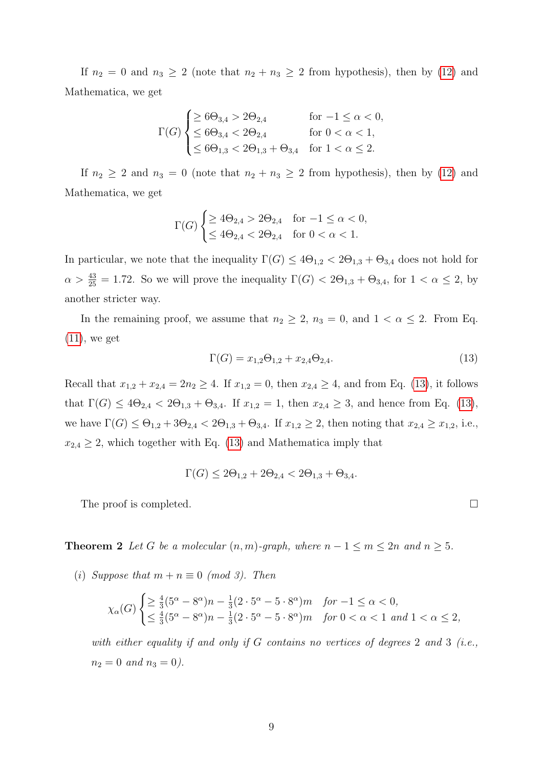If  $n_2 = 0$  and  $n_3 \geq 2$  (note that  $n_2 + n_3 \geq 2$  from hypothesis), then by [\(12\)](#page-7-2) and Mathematica, we get

$$
\Gamma(G) \begin{cases} \geq 6\Theta_{3,4} > 2\Theta_{2,4} & \text{for } -1 \leq \alpha < 0, \\ \leq 6\Theta_{3,4} < 2\Theta_{2,4} & \text{for } 0 < \alpha < 1, \\ \leq 6\Theta_{1,3} < 2\Theta_{1,3} + \Theta_{3,4} & \text{for } 1 < \alpha \leq 2. \end{cases}
$$

If  $n_2 \geq 2$  and  $n_3 = 0$  (note that  $n_2 + n_3 \geq 2$  from hypothesis), then by [\(12\)](#page-7-2) and Mathematica, we get

$$
\Gamma(G) \begin{cases} \geq 4\Theta_{2,4} > 2\Theta_{2,4} & \text{for } -1 \leq \alpha < 0, \\ \leq 4\Theta_{2,4} < 2\Theta_{2,4} & \text{for } 0 < \alpha < 1. \end{cases}
$$

In particular, we note that the inequality  $\Gamma(G) \leq 4\Theta_{1,2} < 2\Theta_{1,3} + \Theta_{3,4}$  does not hold for  $\alpha > \frac{43}{25} = 1.72$ . So we will prove the inequality  $\Gamma(G) < 2\Theta_{1,3} + \Theta_{3,4}$ , for  $1 < \alpha \leq 2$ , by another stricter way.

In the remaining proof, we assume that  $n_2 \geq 2$ ,  $n_3 = 0$ , and  $1 < \alpha \leq 2$ . From Eq.  $(11)$ , we get

<span id="page-8-0"></span>
$$
\Gamma(G) = x_{1,2}\Theta_{1,2} + x_{2,4}\Theta_{2,4}.\tag{13}
$$

Recall that  $x_{1,2} + x_{2,4} = 2n_2 \ge 4$ . If  $x_{1,2} = 0$ , then  $x_{2,4} \ge 4$ , and from Eq. [\(13\)](#page-8-0), it follows that  $\Gamma(G) \leq 4\Theta_{2,4} < 2\Theta_{1,3} + \Theta_{3,4}$ . If  $x_{1,2} = 1$ , then  $x_{2,4} \geq 3$ , and hence from Eq. [\(13\)](#page-8-0), we have  $\Gamma(G) \leq \Theta_{1,2} + 3\Theta_{2,4} < 2\Theta_{1,3} + \Theta_{3,4}$ . If  $x_{1,2} \geq 2$ , then noting that  $x_{2,4} \geq x_{1,2}$ , i.e.,  $x_{2,4} \geq 2$ , which together with Eq. [\(13\)](#page-8-0) and Mathematica imply that

$$
\Gamma(G) \le 2\Theta_{1,2} + 2\Theta_{2,4} < 2\Theta_{1,3} + \Theta_{3,4}.
$$

The proof is completed.

<span id="page-8-1"></span>**Theorem 2** Let G be a molecular  $(n, m)$ -graph, where  $n - 1 \le m \le 2n$  and  $n \ge 5$ .

(i) Suppose that  $m + n \equiv 0 \pmod{3}$ . Then

$$
\chi_{\alpha}(G) \begin{cases} \geq \frac{4}{3} (5^{\alpha} - 8^{\alpha}) n - \frac{1}{3} (2 \cdot 5^{\alpha} - 5 \cdot 8^{\alpha}) m & \text{for } -1 \leq \alpha < 0, \\ \leq \frac{4}{3} (5^{\alpha} - 8^{\alpha}) n - \frac{1}{3} (2 \cdot 5^{\alpha} - 5 \cdot 8^{\alpha}) m & \text{for } 0 < \alpha < 1 \text{ and } 1 < \alpha \leq 2, \end{cases}
$$

with either equality if and only if  $G$  contains no vertices of degrees 2 and 3 (i.e.,  $n_2 = 0$  and  $n_3 = 0$ ).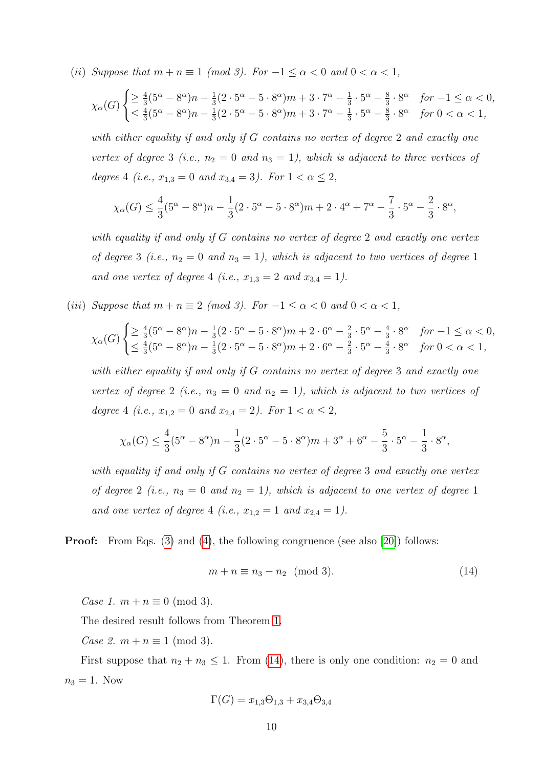(ii) Suppose that  $m + n \equiv 1 \pmod{3}$ . For  $-1 \le \alpha < 0$  and  $0 < \alpha < 1$ ,

$$
\chi_{\alpha}(G) \begin{cases} \geq \frac{4}{3} (5^{\alpha} - 8^{\alpha}) n - \frac{1}{3} (2 \cdot 5^{\alpha} - 5 \cdot 8^{\alpha}) m + 3 \cdot 7^{\alpha} - \frac{1}{3} \cdot 5^{\alpha} - \frac{8}{3} \cdot 8^{\alpha} & \text{for } -1 \leq \alpha < 0, \\ \leq \frac{4}{3} (5^{\alpha} - 8^{\alpha}) n - \frac{1}{3} (2 \cdot 5^{\alpha} - 5 \cdot 8^{\alpha}) m + 3 \cdot 7^{\alpha} - \frac{1}{3} \cdot 5^{\alpha} - \frac{8}{3} \cdot 8^{\alpha} & \text{for } 0 < \alpha < 1, \end{cases}
$$

with either equality if and only if G contains no vertex of degree 2 and exactly one vertex of degree 3 (i.e.,  $n_2 = 0$  and  $n_3 = 1$ ), which is adjacent to three vertices of degree 4 (i.e.,  $x_{1,3} = 0$  and  $x_{3,4} = 3$ ). For  $1 < \alpha \leq 2$ ,

$$
\chi_{\alpha}(G) \le \frac{4}{3}(5^{\alpha} - 8^{\alpha})n - \frac{1}{3}(2 \cdot 5^{\alpha} - 5 \cdot 8^{\alpha})m + 2 \cdot 4^{\alpha} + 7^{\alpha} - \frac{7}{3} \cdot 5^{\alpha} - \frac{2}{3} \cdot 8^{\alpha},
$$

with equality if and only if G contains no vertex of degree 2 and exactly one vertex of degree 3 (i.e.,  $n_2 = 0$  and  $n_3 = 1$ ), which is adjacent to two vertices of degree 1 and one vertex of degree 4 (i.e.,  $x_{1,3} = 2$  and  $x_{3,4} = 1$ ).

(iii) Suppose that  $m + n \equiv 2 \pmod{3}$ . For  $-1 \le \alpha < 0$  and  $0 < \alpha < 1$ ,

$$
\chi_{\alpha}(G) \begin{cases} \geq \frac{4}{3} (5^{\alpha} - 8^{\alpha}) n - \frac{1}{3} (2 \cdot 5^{\alpha} - 5 \cdot 8^{\alpha}) m + 2 \cdot 6^{\alpha} - \frac{2}{3} \cdot 5^{\alpha} - \frac{4}{3} \cdot 8^{\alpha} & \text{for } -1 \leq \alpha < 0, \\ \leq \frac{4}{3} (5^{\alpha} - 8^{\alpha}) n - \frac{1}{3} (2 \cdot 5^{\alpha} - 5 \cdot 8^{\alpha}) m + 2 \cdot 6^{\alpha} - \frac{2}{3} \cdot 5^{\alpha} - \frac{4}{3} \cdot 8^{\alpha} & \text{for } 0 < \alpha < 1, \end{cases}
$$

with either equality if and only if G contains no vertex of degree 3 and exactly one vertex of degree 2 (i.e.,  $n_3 = 0$  and  $n_2 = 1$ ), which is adjacent to two vertices of degree 4 (i.e.,  $x_{1,2} = 0$  and  $x_{2,4} = 2$ ). For  $1 < \alpha \leq 2$ ,

$$
\chi_{\alpha}(G) \le \frac{4}{3}(5^{\alpha} - 8^{\alpha})n - \frac{1}{3}(2 \cdot 5^{\alpha} - 5 \cdot 8^{\alpha})m + 3^{\alpha} + 6^{\alpha} - \frac{5}{3} \cdot 5^{\alpha} - \frac{1}{3} \cdot 8^{\alpha},
$$

with equality if and only if G contains no vertex of degree 3 and exactly one vertex of degree 2 (i.e.,  $n_3 = 0$  and  $n_2 = 1$ ), which is adjacent to one vertex of degree 1 and one vertex of degree 4 (i.e.,  $x_{1,2} = 1$  and  $x_{2,4} = 1$ ).

#### **Proof:** From Eqs. [\(3\)](#page-2-0) and [\(4\)](#page-3-5), the following congruence (see also [\[20\]](#page-17-10)) follows:

<span id="page-9-0"></span>
$$
m + n \equiv n_3 - n_2 \pmod{3}.\tag{14}
$$

Case 1.  $m + n \equiv 0 \pmod{3}$ .

The desired result follows from Theorem [1.](#page-3-4)

Case 2.  $m + n \equiv 1 \pmod{3}$ .

First suppose that  $n_2 + n_3 \leq 1$ . From [\(14\)](#page-9-0), there is only one condition:  $n_2 = 0$  and  $n_3 = 1$ . Now

$$
\Gamma(G) = x_{1,3}\Theta_{1,3} + x_{3,4}\Theta_{3,4}
$$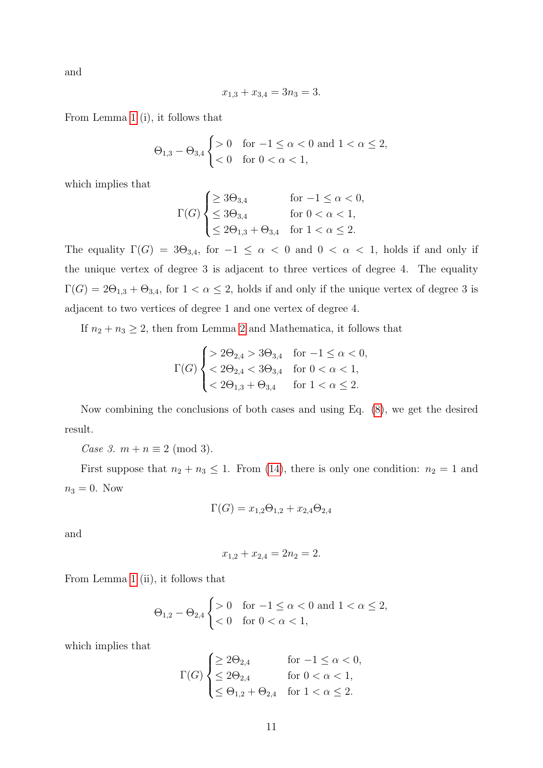and

$$
x_{1,3} + x_{3,4} = 3n_3 = 3.
$$

From Lemma [1](#page-5-1) (i), it follows that

$$
\Theta_{1,3} - \Theta_{3,4} \begin{cases} > 0 & \text{for } -1 \le \alpha < 0 \text{ and } 1 < \alpha \le 2, \\ < 0 & \text{for } 0 < \alpha < 1, \end{cases}
$$

which implies that

$$
\Gamma(G) \begin{cases} \geq 3\Theta_{3,4} & \text{for } -1 \leq \alpha < 0, \\ \leq 3\Theta_{3,4} & \text{for } 0 < \alpha < 1, \\ \leq 2\Theta_{1,3} + \Theta_{3,4} & \text{for } 1 < \alpha \leq 2. \end{cases}
$$

The equality  $\Gamma(G) = 3\Theta_{3,4}$ , for  $-1 \leq \alpha < 0$  and  $0 < \alpha < 1$ , holds if and only if the unique vertex of degree 3 is adjacent to three vertices of degree 4. The equality  $\Gamma(G) = 2\Theta_{1,3} + \Theta_{3,4}$ , for  $1 < \alpha \leq 2$ , holds if and only if the unique vertex of degree 3 is adjacent to two vertices of degree 1 and one vertex of degree 4.

If  $n_2 + n_3 \geq 2$  $n_2 + n_3 \geq 2$ , then from Lemma 2 and Mathematica, it follows that

$$
\Gamma(G) \begin{cases} > 2\Theta_{2,4} > 3\Theta_{3,4} & \text{for } -1 \le \alpha < 0, \\ < 2\Theta_{2,4} < 3\Theta_{3,4} & \text{for } 0 < \alpha < 1, \\ < 2\Theta_{1,3} + \Theta_{3,4} & \text{for } 1 < \alpha \le 2. \end{cases}
$$

Now combining the conclusions of both cases and using Eq. [\(8\)](#page-3-3), we get the desired result.

Case 3.  $m + n \equiv 2 \pmod{3}$ .

First suppose that  $n_2 + n_3 \leq 1$ . From [\(14\)](#page-9-0), there is only one condition:  $n_2 = 1$  and  $n_3 = 0$ . Now

$$
\Gamma(G) = x_{1,2}\Theta_{1,2} + x_{2,4}\Theta_{2,4}
$$

and

$$
x_{1,2} + x_{2,4} = 2n_2 = 2.
$$

From Lemma [1](#page-5-1) (ii), it follows that

$$
\Theta_{1,2} - \Theta_{2,4} \begin{cases} > 0 & \text{for } -1 \le \alpha < 0 \text{ and } 1 < \alpha \le 2, \\ < 0 & \text{for } 0 < \alpha < 1, \end{cases}
$$

which implies that

$$
\Gamma(G) \begin{cases} \geq 2\Theta_{2,4} & \text{for } -1 \leq \alpha < 0, \\ \leq 2\Theta_{2,4} & \text{for } 0 < \alpha < 1, \\ \leq \Theta_{1,2} + \Theta_{2,4} & \text{for } 1 < \alpha \leq 2. \end{cases}
$$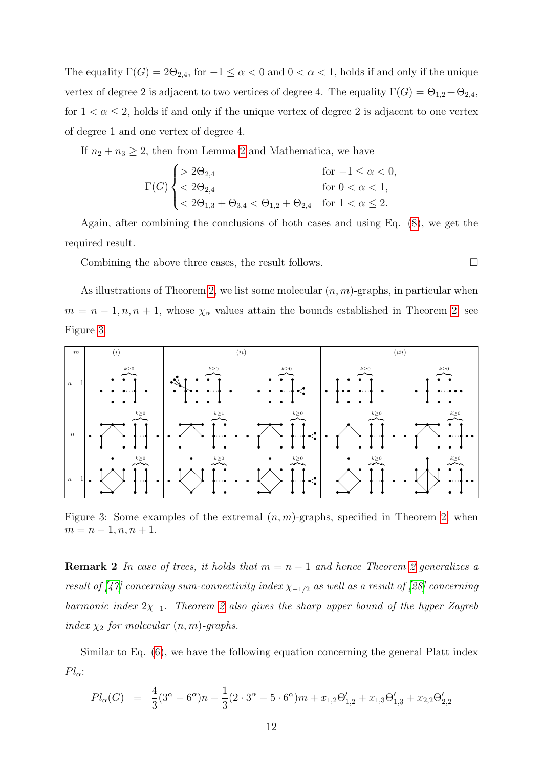The equality  $\Gamma(G) = 2\Theta_{2,4}$ , for  $-1 \leq \alpha < 0$  and  $0 < \alpha < 1$ , holds if and only if the unique vertex of degree 2 is adjacent to two vertices of degree 4. The equality  $\Gamma(G) = \Theta_{1,2} + \Theta_{2,4}$ , for  $1 < \alpha \leq 2$ , holds if and only if the unique vertex of degree 2 is adjacent to one vertex of degree 1 and one vertex of degree 4.

If  $n_2 + n_3 \geq 2$  $n_2 + n_3 \geq 2$ , then from Lemma 2 and Mathematica, we have

$$
\Gamma(G) \begin{cases} > 2\Theta_{2,4} & \text{for } -1 \le \alpha < 0, \\ < 2\Theta_{2,4} & \text{for } 0 < \alpha < 1, \\ < 2\Theta_{1,3} + \Theta_{3,4} < \Theta_{1,2} + \Theta_{2,4} & \text{for } 1 < \alpha \le 2. \end{cases}
$$

Again, after combining the conclusions of both cases and using Eq. [\(8\)](#page-3-3), we get the required result.

Combining the above three cases, the result follows.  $\Box$ 

As illustrations of Theorem [2,](#page-8-1) we list some molecular  $(n, m)$ -graphs, in particular when  $m = n - 1, n, n + 1$ , whose  $\chi_{\alpha}$  values attain the bounds established in Theorem [2,](#page-8-1) see Figure [3.](#page-11-0)



<span id="page-11-0"></span>Figure 3: Some examples of the extremal  $(n, m)$ -graphs, specified in Theorem [2,](#page-8-1) when  $m = n - 1, n, n + 1.$ 

**Remark [2](#page-8-1)** In case of trees, it holds that  $m = n - 1$  and hence Theorem 2 generalizes a result of [\[47\]](#page-19-5) concerning sum-connectivity index  $\chi_{-1/2}$  as well as a result of [\[28\]](#page-18-9) concerning harmonic index  $2\chi_{-1}$ . Theorem [2](#page-8-1) also gives the sharp upper bound of the hyper Zagreb index  $\chi_2$  for molecular  $(n, m)$ -graphs.

Similar to Eq. [\(6\)](#page-3-1), we have the following equation concerning the general Platt index  $Pl_{\alpha}$ :

$$
Pl_{\alpha}(G) = \frac{4}{3}(3^{\alpha} - 6^{\alpha})n - \frac{1}{3}(2 \cdot 3^{\alpha} - 5 \cdot 6^{\alpha})m + x_{1,2}\Theta'_{1,2} + x_{1,3}\Theta'_{1,3} + x_{2,2}\Theta'_{2,2}
$$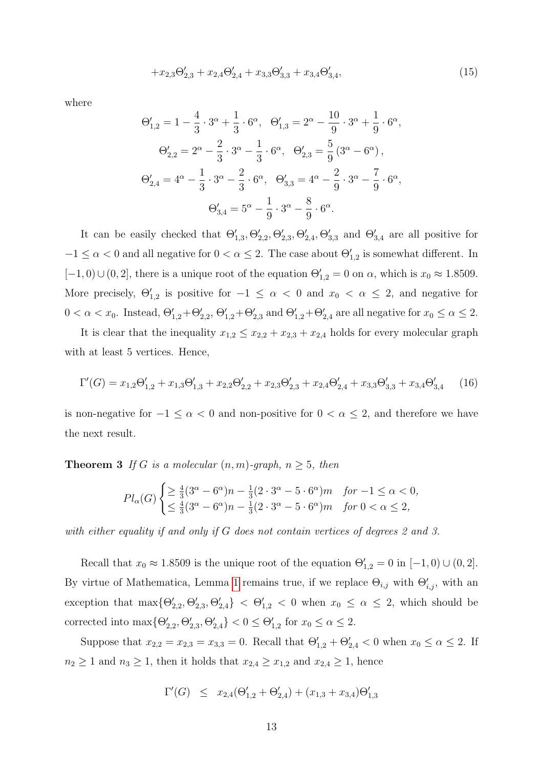$$
+x_{2,3}\Theta_{2,3}'+x_{2,4}\Theta_{2,4}'+x_{3,3}\Theta_{3,3}'+x_{3,4}\Theta_{3,4}',\tag{15}
$$

where

$$
\Theta'_{1,2} = 1 - \frac{4}{3} \cdot 3^{\alpha} + \frac{1}{3} \cdot 6^{\alpha}, \quad \Theta'_{1,3} = 2^{\alpha} - \frac{10}{9} \cdot 3^{\alpha} + \frac{1}{9} \cdot 6^{\alpha},
$$
  

$$
\Theta'_{2,2} = 2^{\alpha} - \frac{2}{3} \cdot 3^{\alpha} - \frac{1}{3} \cdot 6^{\alpha}, \quad \Theta'_{2,3} = \frac{5}{9} (3^{\alpha} - 6^{\alpha}),
$$
  

$$
\Theta'_{2,4} = 4^{\alpha} - \frac{1}{3} \cdot 3^{\alpha} - \frac{2}{3} \cdot 6^{\alpha}, \quad \Theta'_{3,3} = 4^{\alpha} - \frac{2}{9} \cdot 3^{\alpha} - \frac{7}{9} \cdot 6^{\alpha},
$$
  

$$
\Theta'_{3,4} = 5^{\alpha} - \frac{1}{9} \cdot 3^{\alpha} - \frac{8}{9} \cdot 6^{\alpha}.
$$

It can be easily checked that  $\Theta'_{1,3}, \Theta'_{2,2}, \Theta'_{2,3}, \Theta'_{2,4}, \Theta'_{3,3}$  and  $\Theta'_{3,4}$  are all positive for  $-1 \leq \alpha < 0$  and all negative for  $0 < \alpha \leq 2$ . The case about  $\Theta'_{1,2}$  is somewhat different. In  $[-1, 0) \cup (0, 2]$ , there is a unique root of the equation  $\Theta'_{1,2} = 0$  on  $\alpha$ , which is  $x_0 \approx 1.8509$ . More precisely,  $\Theta'_{1,2}$  is positive for  $-1 \leq \alpha < 0$  and  $x_0 < \alpha \leq 2$ , and negative for  $0 < \alpha < x_0$ . Instead,  $\Theta'_{1,2} + \Theta'_{2,2}, \Theta'_{1,2} + \Theta'_{2,3}$  and  $\Theta'_{1,2} + \Theta'_{2,4}$  are all negative for  $x_0 \le \alpha \le 2$ .

It is clear that the inequality  $x_{1,2} \leq x_{2,2} + x_{2,3} + x_{2,4}$  holds for every molecular graph with at least 5 vertices. Hence,

<span id="page-12-0"></span>
$$
\Gamma'(G) = x_{1,2}\Theta'_{1,2} + x_{1,3}\Theta'_{1,3} + x_{2,2}\Theta'_{2,2} + x_{2,3}\Theta'_{2,3} + x_{2,4}\Theta'_{2,4} + x_{3,3}\Theta'_{3,3} + x_{3,4}\Theta'_{3,4}
$$
 (16)

is non-negative for  $-1 \le \alpha < 0$  and non-positive for  $0 < \alpha \le 2$ , and therefore we have the next result.

**Theorem 3** If G is a molecular  $(n, m)$ -graph,  $n \geq 5$ , then

$$
Pl_{\alpha}(G) \begin{cases} \geq \frac{4}{3}(3^{\alpha} - 6^{\alpha})n - \frac{1}{3}(2 \cdot 3^{\alpha} - 5 \cdot 6^{\alpha})m & \text{for } -1 \leq \alpha < 0, \\ \leq \frac{4}{3}(3^{\alpha} - 6^{\alpha})n - \frac{1}{3}(2 \cdot 3^{\alpha} - 5 \cdot 6^{\alpha})m & \text{for } 0 < \alpha \leq 2, \end{cases}
$$

with either equality if and only if G does not contain vertices of degrees 2 and 3.

Recall that  $x_0 \approx 1.8509$  is the unique root of the equation  $\Theta'_{1,2} = 0$  in  $[-1,0) \cup (0,2]$ . By virtue of Mathematica, Lemma [1](#page-5-1) remains true, if we replace  $\Theta_{i,j}$  with  $\Theta'_{i,j}$ , with an exception that  $\max{\{\Theta_{2,2}', \Theta_{2,3}', \Theta_{2,4}'\}} < \Theta_{1,2}' < 0$  when  $x_0 \leq \alpha \leq 2$ , which should be corrected into  $\max{\{\Theta'_{2,2}, \Theta'_{2,3}, \Theta'_{2,4}\}} < 0 \leq \Theta'_{1,2}$  for  $x_0 \leq \alpha \leq 2$ .

Suppose that  $x_{2,2} = x_{2,3} = x_{3,3} = 0$ . Recall that  $\Theta'_{1,2} + \Theta'_{2,4} < 0$  when  $x_0 \le \alpha \le 2$ . If  $n_2 \geq 1$  and  $n_3 \geq 1$ , then it holds that  $x_{2,4} \geq x_{1,2}$  and  $x_{2,4} \geq 1$ , hence

$$
\Gamma'(G) \le x_{2,4}(\Theta'_{1,2} + \Theta'_{2,4}) + (x_{1,3} + x_{3,4})\Theta'_{1,3}
$$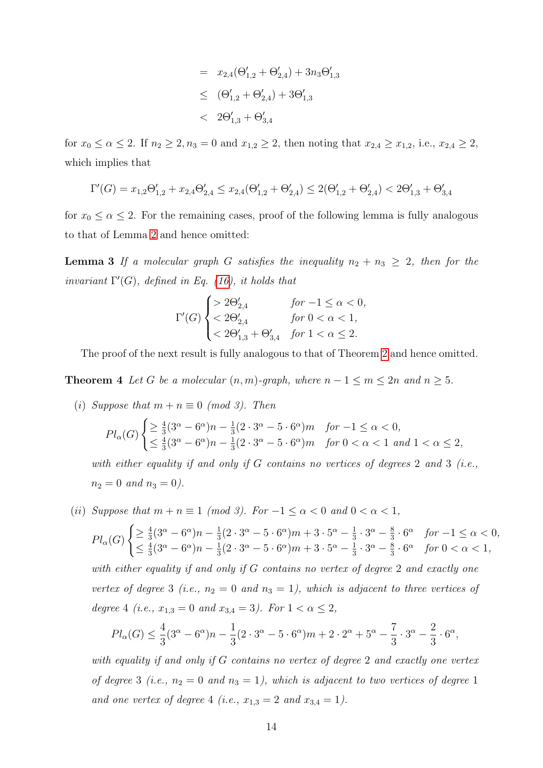$$
= x_{2,4}(\Theta'_{1,2} + \Theta'_{2,4}) + 3n_3\Theta'_{1,3}
$$
  
\n
$$
\leq (\Theta'_{1,2} + \Theta'_{2,4}) + 3\Theta'_{1,3}
$$
  
\n
$$
< 2\Theta'_{1,3} + \Theta'_{3,4}
$$

for  $x_0 \le \alpha \le 2$ . If  $n_2 \ge 2$ ,  $n_3 = 0$  and  $x_{1,2} \ge 2$ , then noting that  $x_{2,4} \ge x_{1,2}$ , i.e.,  $x_{2,4} \ge 2$ , which implies that

$$
\Gamma'(G) = x_{1,2}\Theta'_{1,2} + x_{2,4}\Theta'_{2,4} \le x_{2,4}(\Theta'_{1,2} + \Theta'_{2,4}) \le 2(\Theta'_{1,2} + \Theta'_{2,4}) < 2\Theta'_{1,3} + \Theta'_{3,4}
$$

for  $x_0 \le \alpha \le 2$ . For the remaining cases, proof of the following lemma is fully analogous to that of Lemma [2](#page-6-1) and hence omitted:

**Lemma 3** If a molecular graph G satisfies the inequality  $n_2 + n_3 \geq 2$ , then for the invariant  $\Gamma'(G)$ , defined in Eq. [\(16\)](#page-12-0), it holds that

$$
\Gamma'(G) \begin{cases}\n> 2\Theta'_{2,4} & \text{for } -1 \le \alpha < 0, \\
< 2\Theta'_{2,4} & \text{for } 0 < \alpha < 1, \\
< 2\Theta'_{1,3} + \Theta'_{3,4} & \text{for } 1 < \alpha \le 2.\n\end{cases}
$$

The proof of the next result is fully analogous to that of Theorem [2](#page-8-1) and hence omitted.

<span id="page-13-0"></span>**Theorem 4** Let G be a molecular  $(n, m)$ -graph, where  $n - 1 \le m \le 2n$  and  $n \ge 5$ .

(i) Suppose that  $m + n \equiv 0 \pmod{3}$ . Then

$$
Pl_{\alpha}(G) \begin{cases} \geq \frac{4}{3}(3^{\alpha} - 6^{\alpha})n - \frac{1}{3}(2 \cdot 3^{\alpha} - 5 \cdot 6^{\alpha})m & \text{for } -1 \leq \alpha < 0, \\ \leq \frac{4}{3}(3^{\alpha} - 6^{\alpha})n - \frac{1}{3}(2 \cdot 3^{\alpha} - 5 \cdot 6^{\alpha})m & \text{for } 0 < \alpha < 1 \text{ and } 1 < \alpha \leq 2, \end{cases}
$$

with either equality if and only if  $G$  contains no vertices of degrees 2 and 3 (i.e.,  $n_2 = 0$  and  $n_3 = 0$ ).

(ii) Suppose that  $m + n \equiv 1 \pmod{3}$ . For  $-1 \le \alpha < 0$  and  $0 < \alpha < 1$ ,

$$
Pl_{\alpha}(G) \begin{cases} \geq \frac{4}{3}(3^{\alpha} - 6^{\alpha})n - \frac{1}{3}(2 \cdot 3^{\alpha} - 5 \cdot 6^{\alpha})m + 3 \cdot 5^{\alpha} - \frac{1}{3} \cdot 3^{\alpha} - \frac{8}{3} \cdot 6^{\alpha} & \text{for } -1 \leq \alpha < 0, \\ \leq \frac{4}{3}(3^{\alpha} - 6^{\alpha})n - \frac{1}{3}(2 \cdot 3^{\alpha} - 5 \cdot 6^{\alpha})m + 3 \cdot 5^{\alpha} - \frac{1}{3} \cdot 3^{\alpha} - \frac{8}{3} \cdot 6^{\alpha} & \text{for } 0 < \alpha < 1, \end{cases}
$$

with either equality if and only if G contains no vertex of degree 2 and exactly one vertex of degree 3 (i.e.,  $n_2 = 0$  and  $n_3 = 1$ ), which is adjacent to three vertices of degree 4 (i.e.,  $x_{1,3} = 0$  and  $x_{3,4} = 3$ ). For  $1 < \alpha \leq 2$ ,

$$
Pl_{\alpha}(G) \le \frac{4}{3}(3^{\alpha} - 6^{\alpha})n - \frac{1}{3}(2 \cdot 3^{\alpha} - 5 \cdot 6^{\alpha})m + 2 \cdot 2^{\alpha} + 5^{\alpha} - \frac{7}{3} \cdot 3^{\alpha} - \frac{2}{3} \cdot 6^{\alpha},
$$

with equality if and only if G contains no vertex of degree 2 and exactly one vertex of degree 3 (i.e.,  $n_2 = 0$  and  $n_3 = 1$ ), which is adjacent to two vertices of degree 1 and one vertex of degree 4 (i.e.,  $x_{1,3} = 2$  and  $x_{3,4} = 1$ ).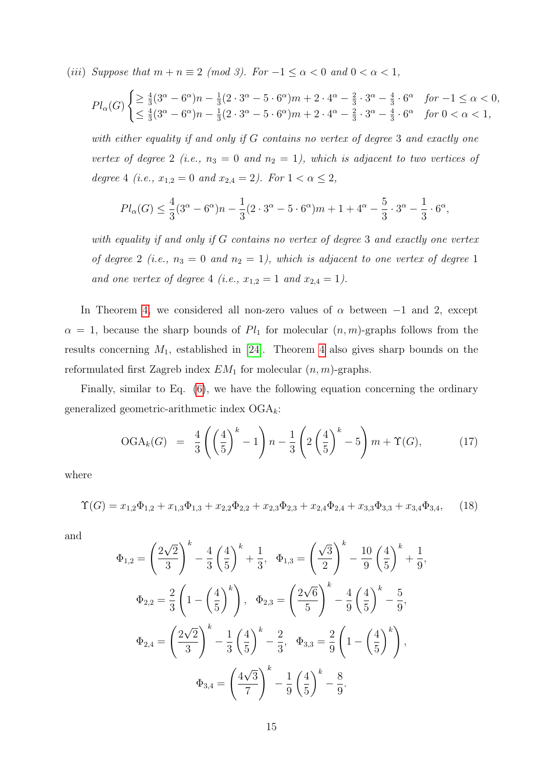(iii) Suppose that  $m + n \equiv 2 \pmod{3}$ . For  $-1 \le \alpha < 0$  and  $0 < \alpha < 1$ ,

$$
Pl_{\alpha}(G) \begin{cases} \geq \frac{4}{3} (3^{\alpha} - 6^{\alpha}) n - \frac{1}{3} (2 \cdot 3^{\alpha} - 5 \cdot 6^{\alpha}) m + 2 \cdot 4^{\alpha} - \frac{2}{3} \cdot 3^{\alpha} - \frac{4}{3} \cdot 6^{\alpha} & \text{for } -1 \leq \alpha < 0, \\ \leq \frac{4}{3} (3^{\alpha} - 6^{\alpha}) n - \frac{1}{3} (2 \cdot 3^{\alpha} - 5 \cdot 6^{\alpha}) m + 2 \cdot 4^{\alpha} - \frac{2}{3} \cdot 3^{\alpha} - \frac{4}{3} \cdot 6^{\alpha} & \text{for } 0 < \alpha < 1, \end{cases}
$$

with either equality if and only if G contains no vertex of degree 3 and exactly one vertex of degree 2 (i.e.,  $n_3 = 0$  and  $n_2 = 1$ ), which is adjacent to two vertices of degree 4 (i.e.,  $x_{1,2} = 0$  and  $x_{2,4} = 2$ ). For  $1 < \alpha \leq 2$ ,

$$
Pl_{\alpha}(G) \le \frac{4}{3}(3^{\alpha} - 6^{\alpha})n - \frac{1}{3}(2 \cdot 3^{\alpha} - 5 \cdot 6^{\alpha})m + 1 + 4^{\alpha} - \frac{5}{3} \cdot 3^{\alpha} - \frac{1}{3} \cdot 6^{\alpha},
$$

with equality if and only if G contains no vertex of degree 3 and exactly one vertex of degree 2 (i.e.,  $n_3 = 0$  and  $n_2 = 1$ ), which is adjacent to one vertex of degree 1 and one vertex of degree 4 (i.e.,  $x_{1,2} = 1$  and  $x_{2,4} = 1$ ).

In Theorem [4,](#page-13-0) we considered all non-zero values of  $\alpha$  between  $-1$  and 2, except  $\alpha = 1$ , because the sharp bounds of  $Pl_1$  for molecular  $(n, m)$ -graphs follows from the results concerning  $M_1$ , established in [\[24\]](#page-17-11). Theorem [4](#page-13-0) also gives sharp bounds on the reformulated first Zagreb index  $EM_1$  for molecular  $(n, m)$ -graphs.

Finally, similar to Eq. [\(6\)](#page-3-1), we have the following equation concerning the ordinary generalized geometric-arithmetic index  $OGA_k$ :

$$
\text{OGA}_k(G) = \frac{4}{3} \left( \left( \frac{4}{5} \right)^k - 1 \right) n - \frac{1}{3} \left( 2 \left( \frac{4}{5} \right)^k - 5 \right) m + \Upsilon(G), \tag{17}
$$

,

where

<span id="page-14-0"></span>
$$
\Upsilon(G) = x_{1,2}\Phi_{1,2} + x_{1,3}\Phi_{1,3} + x_{2,2}\Phi_{2,2} + x_{2,3}\Phi_{2,3} + x_{2,4}\Phi_{2,4} + x_{3,3}\Phi_{3,3} + x_{3,4}\Phi_{3,4},\tag{18}
$$

and

$$
\Phi_{1,2} = \left(\frac{2\sqrt{2}}{3}\right)^k - \frac{4}{3}\left(\frac{4}{5}\right)^k + \frac{1}{3}, \quad \Phi_{1,3} = \left(\frac{\sqrt{3}}{2}\right)^k - \frac{10}{9}\left(\frac{4}{5}\right)^k + \frac{1}{9}
$$
\n
$$
\Phi_{2,2} = \frac{2}{3}\left(1 - \left(\frac{4}{5}\right)^k\right), \quad \Phi_{2,3} = \left(\frac{2\sqrt{6}}{5}\right)^k - \frac{4}{9}\left(\frac{4}{5}\right)^k - \frac{5}{9},
$$
\n
$$
\Phi_{2,4} = \left(\frac{2\sqrt{2}}{3}\right)^k - \frac{1}{3}\left(\frac{4}{5}\right)^k - \frac{2}{3}, \quad \Phi_{3,3} = \frac{2}{9}\left(1 - \left(\frac{4}{5}\right)^k\right),
$$
\n
$$
\Phi_{3,4} = \left(\frac{4\sqrt{3}}{7}\right)^k - \frac{1}{9}\left(\frac{4}{5}\right)^k - \frac{8}{9}.
$$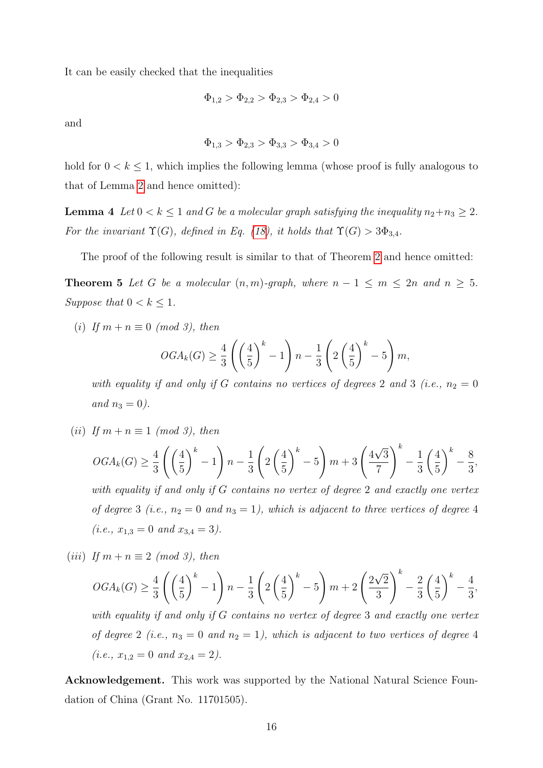It can be easily checked that the inequalities

$$
\Phi_{1,2} > \Phi_{2,2} > \Phi_{2,3} > \Phi_{2,4} > 0
$$

and

$$
\Phi_{1,3} > \Phi_{2,3} > \Phi_{3,3} > \Phi_{3,4} > 0
$$

hold for  $0 < k \leq 1$ , which implies the following lemma (whose proof is fully analogous to that of Lemma [2](#page-6-1) and hence omitted):

**Lemma 4** Let  $0 < k \leq 1$  and G be a molecular graph satisfying the inequality  $n_2 + n_3 \geq 2$ . For the invariant  $\Upsilon(G)$ , defined in Eq. [\(18\)](#page-14-0), it holds that  $\Upsilon(G) > 3\Phi_{3,4}$ .

The proof of the following result is similar to that of Theorem [2](#page-8-1) and hence omitted:

**Theorem 5** Let G be a molecular  $(n, m)$ -graph, where  $n - 1 \le m \le 2n$  and  $n \ge 5$ . Suppose that  $0 < k \leq 1$ .

(i) If  $m + n \equiv 0 \pmod{3}$ , then

$$
OGA_{k}(G) \ge \frac{4}{3} \left( \left( \frac{4}{5} \right)^{k} - 1 \right) n - \frac{1}{3} \left( 2 \left( \frac{4}{5} \right)^{k} - 5 \right) m,
$$

with equality if and only if G contains no vertices of degrees 2 and 3 (i.e.,  $n_2 = 0$ and  $n_3 = 0$ ).

(ii) If  $m + n \equiv 1 \pmod{3}$ , then

$$
OGA_k(G) \ge \frac{4}{3} \left( \left( \frac{4}{5} \right)^k - 1 \right) n - \frac{1}{3} \left( 2 \left( \frac{4}{5} \right)^k - 5 \right) m + 3 \left( \frac{4\sqrt{3}}{7} \right)^k - \frac{1}{3} \left( \frac{4}{5} \right)^k - \frac{8}{3},
$$

with equality if and only if G contains no vertex of degree 2 and exactly one vertex of degree 3 (i.e.,  $n_2 = 0$  and  $n_3 = 1$ ), which is adjacent to three vertices of degree 4  $(i.e., x_{1,3} = 0 \text{ and } x_{3,4} = 3).$ 

(iii) If  $m + n \equiv 2 \pmod{3}$ , then

$$
OGA_k(G) \ge \frac{4}{3} \left( \left( \frac{4}{5} \right)^k - 1 \right) n - \frac{1}{3} \left( 2 \left( \frac{4}{5} \right)^k - 5 \right) m + 2 \left( \frac{2\sqrt{2}}{3} \right)^k - \frac{2}{3} \left( \frac{4}{5} \right)^k - \frac{4}{3},
$$

with equality if and only if G contains no vertex of degree 3 and exactly one vertex of degree 2 (i.e.,  $n_3 = 0$  and  $n_2 = 1$ ), which is adjacent to two vertices of degree 4  $(i.e., x_{1,2} = 0 \text{ and } x_{2,4} = 2).$ 

Acknowledgement. This work was supported by the National Natural Science Foundation of China (Grant No. 11701505).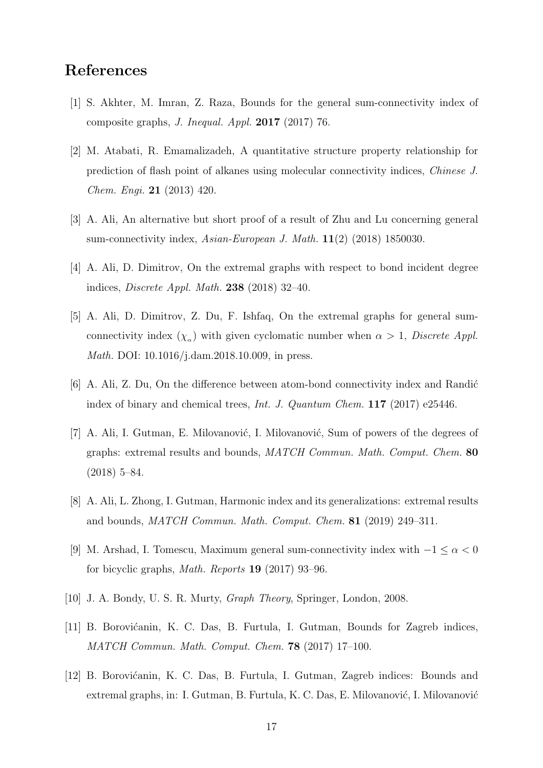### References

- <span id="page-16-6"></span>[1] S. Akhter, M. Imran, Z. Raza, Bounds for the general sum-connectivity index of composite graphs, J. Inequal. Appl. 2017 (2017) 76.
- <span id="page-16-0"></span>[2] M. Atabati, R. Emamalizadeh, A quantitative structure property relationship for prediction of flash point of alkanes using molecular connectivity indices, Chinese J. Chem. Engi. 21 (2013) 420.
- <span id="page-16-7"></span>[3] A. Ali, An alternative but short proof of a result of Zhu and Lu concerning general sum-connectivity index,  $Asian\text{-}European\ J\$ . Math.  $11(2)$  (2018) 1850030.
- <span id="page-16-10"></span>[4] A. Ali, D. Dimitrov, On the extremal graphs with respect to bond incident degree indices, Discrete Appl. Math. 238 (2018) 32–40.
- <span id="page-16-8"></span>[5] A. Ali, D. Dimitrov, Z. Du, F. Ishfaq, On the extremal graphs for general sumconnectivity index  $(\chi_{\alpha})$  with given cyclomatic number when  $\alpha > 1$ , *Discrete Appl.* Math. DOI: 10.1016/j.dam.2018.10.009, in press.
- <span id="page-16-4"></span> $[6]$  A. Ali, Z. Du, On the difference between atom-bond connectivity index and Randić index of binary and chemical trees, Int. J. Quantum Chem. 117 (2017) e25446.
- <span id="page-16-1"></span>[7] A. Ali, I. Gutman, E. Milovanović, I. Milovanović, Sum of powers of the degrees of graphs: extremal results and bounds, MATCH Commun. Math. Comput. Chem. 80 (2018) 5–84.
- <span id="page-16-5"></span>[8] A. Ali, L. Zhong, I. Gutman, Harmonic index and its generalizations: extremal results and bounds, MATCH Commun. Math. Comput. Chem. 81 (2019) 249–311.
- <span id="page-16-9"></span>[9] M. Arshad, I. Tomescu, Maximum general sum-connectivity index with  $-1 \leq \alpha < 0$ for bicyclic graphs, Math. Reports 19 (2017) 93–96.
- <span id="page-16-11"></span>[10] J. A. Bondy, U. S. R. Murty, Graph Theory, Springer, London, 2008.
- <span id="page-16-2"></span>[11] B. Borovićanin, K. C. Das, B. Furtula, I. Gutman, Bounds for Zagreb indices, MATCH Commun. Math. Comput. Chem. 78 (2017) 17–100.
- <span id="page-16-3"></span>[12] B. Borovićanin, K. C. Das, B. Furtula, I. Gutman, Zagreb indices: Bounds and extremal graphs, in: I. Gutman, B. Furtula, K. C. Das, E. Milovanović, I. Milovanović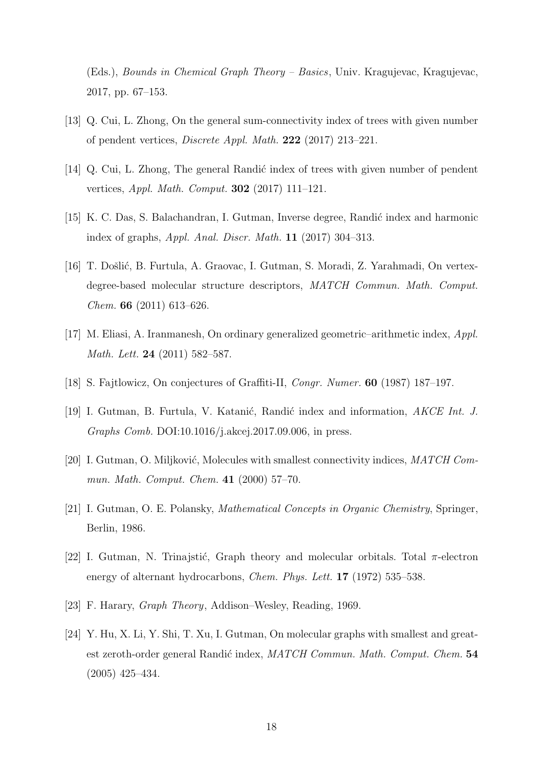(Eds.), Bounds in Chemical Graph Theory – Basics, Univ. Kragujevac, Kragujevac, 2017, pp. 67–153.

- <span id="page-17-7"></span>[13] Q. Cui, L. Zhong, On the general sum-connectivity index of trees with given number of pendent vertices, Discrete Appl. Math. 222 (2017) 213–221.
- <span id="page-17-3"></span>[14] Q. Cui, L. Zhong, The general Randic index of trees with given number of pendent vertices, Appl. Math. Comput. 302 (2017) 111–121.
- <span id="page-17-4"></span>[15] K. C. Das, S. Balachandran, I. Gutman, Inverse degree, Randić index and harmonic index of graphs, Appl. Anal. Discr. Math. 11 (2017) 304–313.
- <span id="page-17-2"></span>[16] T. Došlić, B. Furtula, A. Graovac, I. Gutman, S. Moradi, Z. Yarahmadi, On vertexdegree-based molecular structure descriptors,  $MATCH$  Commun. Math. Comput. Chem. 66 (2011) 613–626.
- <span id="page-17-8"></span>[17] M. Eliasi, A. Iranmanesh, On ordinary generalized geometric–arithmetic index, Appl. Math. Lett. 24 (2011) 582–587.
- <span id="page-17-6"></span><span id="page-17-5"></span>[18] S. Fajtlowicz, On conjectures of Graffiti-II, Congr. Numer. 60 (1987) 187–197.
- [19] I. Gutman, B. Furtula, V. Katanić, Randić index and information, *AKCE Int. J.* Graphs Comb. DOI:10.1016/j.akcej.2017.09.006, in press.
- <span id="page-17-10"></span>[20] I. Gutman, O. Miljković, Molecules with smallest connectivity indices,  $MATCH$  Commun. Math. Comput. Chem. 41 (2000) 57–70.
- <span id="page-17-0"></span>[21] I. Gutman, O. E. Polansky, Mathematical Concepts in Organic Chemistry, Springer, Berlin, 1986.
- <span id="page-17-1"></span>[22] I. Gutman, N. Trinajstić, Graph theory and molecular orbitals. Total  $\pi$ -electron energy of alternant hydrocarbons, *Chem. Phys. Lett.* **17** (1972) 535–538.
- <span id="page-17-9"></span>[23] F. Harary, Graph Theory, Addison–Wesley, Reading, 1969.
- <span id="page-17-11"></span>[24] Y. Hu, X. Li, Y. Shi, T. Xu, I. Gutman, On molecular graphs with smallest and greatest zeroth-order general Randić index, MATCH Commun. Math. Comput. Chem. 54 (2005) 425–434.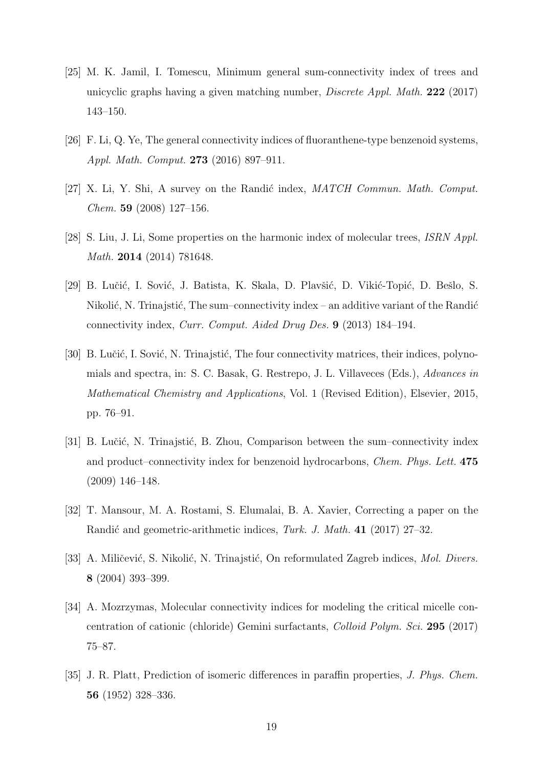- <span id="page-18-7"></span>[25] M. K. Jamil, I. Tomescu, Minimum general sum-connectivity index of trees and unicyclic graphs having a given matching number, Discrete Appl. Math. 222 (2017) 143–150.
- <span id="page-18-3"></span>[26] F. Li, Q. Ye, The general connectivity indices of fluoranthene-type benzenoid systems, Appl. Math. Comput. 273 (2016) 897–911.
- <span id="page-18-2"></span>[27] X. Li, Y. Shi, A survey on the Randić index,  $MATCH$  Commun. Math. Comput. Chem. 59 (2008) 127–156.
- <span id="page-18-9"></span>[28] S. Liu, J. Li, Some properties on the harmonic index of molecular trees, ISRN Appl. Math. 2014 (2014) 781648.
- <span id="page-18-5"></span>[29] B. Lučić, I. Sović, J. Batista, K. Skala, D. Plavšić, D. Vikić-Topić, D. Bešlo, S. Nikolić, N. Trinajstić, The sum–connectivity index – an additive variant of the Randić connectivity index, Curr. Comput. Aided Drug Des. 9 (2013) 184–194.
- [30] B. Lučić, I. Sović, N. Trinajstić, The four connectivity matrices, their indices, polynomials and spectra, in: S. C. Basak, G. Restrepo, J. L. Villaveces (Eds.), Advances in Mathematical Chemistry and Applications, Vol. 1 (Revised Edition), Elsevier, 2015, pp. 76–91.
- <span id="page-18-6"></span>[31] B. Lučić, N. Trinajstić, B. Zhou, Comparison between the sum–connectivity index and product–connectivity index for benzenoid hydrocarbons, Chem. Phys. Lett. 475 (2009) 146–148.
- <span id="page-18-4"></span>[32] T. Mansour, M. A. Rostami, S. Elumalai, B. A. Xavier, Correcting a paper on the Randić and geometric-arithmetic indices, Turk. J. Math. 41 (2017) 27–32.
- <span id="page-18-8"></span>[33] A. Miličević, S. Nikolić, N. Trinajstić, On reformulated Zagreb indices, *Mol. Divers.* 8 (2004) 393–399.
- <span id="page-18-0"></span>[34] A. Mozrzymas, Molecular connectivity indices for modeling the critical micelle concentration of cationic (chloride) Gemini surfactants, Colloid Polym. Sci. 295 (2017) 75–87.
- <span id="page-18-1"></span>[35] J. R. Platt, Prediction of isomeric differences in paraffin properties, J. Phys. Chem. 56 (1952) 328–336.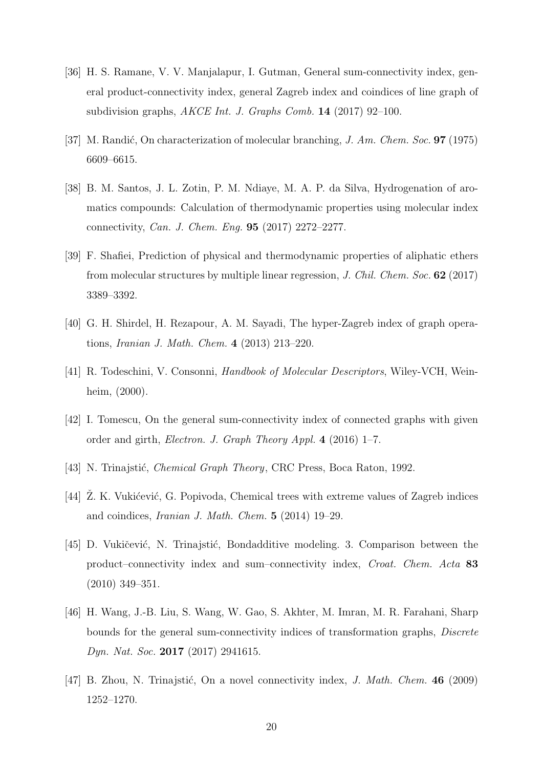- <span id="page-19-8"></span>[36] H. S. Ramane, V. V. Manjalapur, I. Gutman, General sum-connectivity index, general product-connectivity index, general Zagreb index and coindices of line graph of subdivision graphs, AKCE Int. J. Graphs Comb. 14 (2017) 92–100.
- <span id="page-19-4"></span>[37] M. Randić, On characterization of molecular branching, J. Am. Chem. Soc. **97** (1975) 6609–6615.
- <span id="page-19-2"></span>[38] B. M. Santos, J. L. Zotin, P. M. Ndiaye, M. A. P. da Silva, Hydrogenation of aromatics compounds: Calculation of thermodynamic properties using molecular index connectivity, Can. J. Chem. Eng. 95 (2017) 2272–2277.
- <span id="page-19-3"></span>[39] F. Shafiei, Prediction of physical and thermodynamic properties of aliphatic ethers from molecular structures by multiple linear regression, J. Chil. Chem. Soc. 62 (2017) 3389–3392.
- <span id="page-19-7"></span>[40] G. H. Shirdel, H. Rezapour, A. M. Sayadi, The hyper-Zagreb index of graph operations, Iranian J. Math. Chem. 4 (2013) 213–220.
- <span id="page-19-1"></span>[41] R. Todeschini, V. Consonni, Handbook of Molecular Descriptors, Wiley-VCH, Weinheim, (2000).
- <span id="page-19-9"></span>[42] I. Tomescu, On the general sum-connectivity index of connected graphs with given order and girth, Electron. J. Graph Theory Appl. 4 (2016) 1–7.
- <span id="page-19-0"></span>[43] N. Trinajstić, *Chemical Graph Theory*, CRC Press, Boca Raton, 1992.
- <span id="page-19-11"></span>[44] Z. K. Vukićević, G. Popivoda, Chemical trees with extreme values of Zagreb indices and coindices, Iranian J. Math. Chem. 5 (2014) 19–29.
- <span id="page-19-6"></span>[45] D. Vukičević, N. Trinajstić, Bondadditive modeling. 3. Comparison between the product–connectivity index and sum–connectivity index, Croat. Chem. Acta 83 (2010) 349–351.
- <span id="page-19-10"></span>[46] H. Wang, J.-B. Liu, S. Wang, W. Gao, S. Akhter, M. Imran, M. R. Farahani, Sharp bounds for the general sum-connectivity indices of transformation graphs, Discrete Dyn. Nat. Soc. 2017 (2017) 2941615.
- <span id="page-19-5"></span>[47] B. Zhou, N. Trinajstić, On a novel connectivity index, J. Math. Chem.  $46$  (2009) 1252–1270.